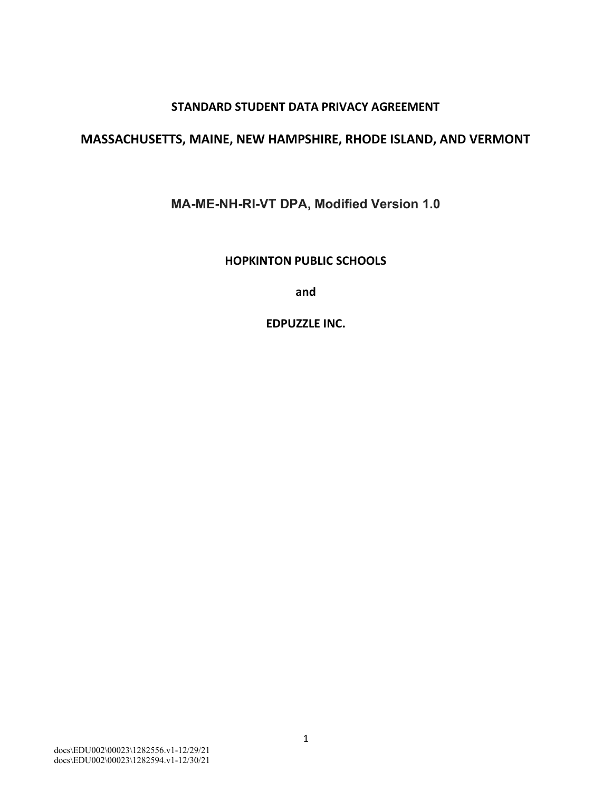#### **STANDARD STUDENT DATA PRIVACY AGREEMENT**

#### **MASSACHUSETTS, MAINE, NEW HAMPSHIRE, RHODE ISLAND, AND VERMONT**

**MA-ME-NH-RI-VT DPA, Modified Version 1.0**

**HOPKINTON PUBLIC SCHOOLS** 

**and** 

**EDPUZZLE INC.**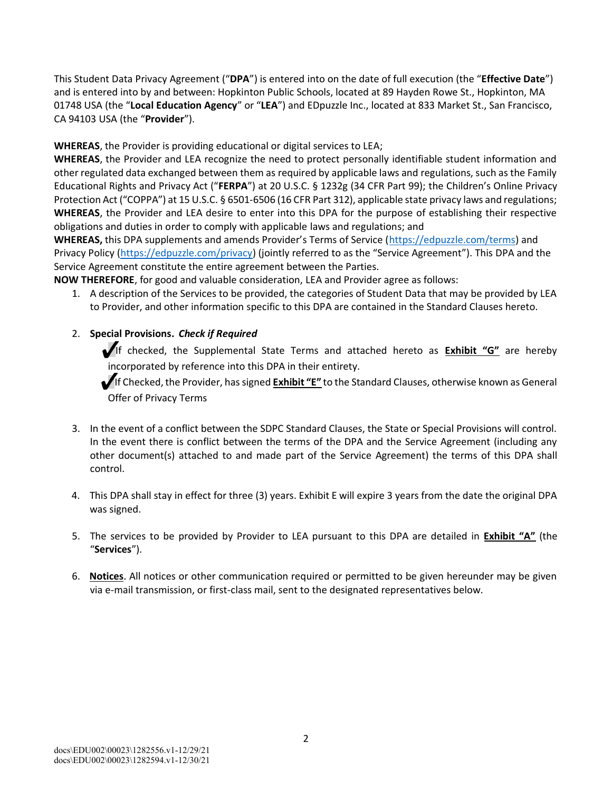This Student Data Privacy Agreement ("**DPA**") is entered into on the date of full execution (the "**Effective Date**") and is entered into by and between: Hopkinton Public Schools, located at 89 Hayden Rowe St., Hopkinton, MA 01748 USA (the "**Local Education Agency**" or "**LEA**") and EDpuzzle Inc., located at 833 Market St., San Francisco, CA 94103 USA (the "**Provider**").

**WHEREAS**, the Provider is providing educational or digital services to LEA;

**WHEREAS**, the Provider and LEA recognize the need to protect personally identifiable student information and other regulated data exchanged between them as required by applicable laws and regulations, such as the Family Educational Rights and Privacy Act ("**FERPA**") at 20 U.S.C. § 1232g (34 CFR Part 99); the Children's Online Privacy Protection Act ("COPPA") at 15 U.S.C. § 6501-6506 (16 CFR Part 312), applicable state privacy laws and regulations; **WHEREAS**, the Provider and LEA desire to enter into this DPA for the purpose of establishing their respective obligations and duties in order to comply with applicable laws and regulations; and

**WHEREAS,** this DPA supplements and amends Provider's Terms of Service (https://edpuzzle.com/terms) and Privacy Policy (https://edpuzzle.com/privacy) (jointly referred to as the "Service Agreement"). This DPA and the Service Agreement constitute the entire agreement between the Parties.

**NOW THEREFORE**, for good and valuable consideration, LEA and Provider agree as follows:

1. A description of the Services to be provided, the categories of Student Data that may be provided by LEA to Provider, and other information specific to this DPA are contained in the Standard Clauses hereto.

#### 2. **Special Provisions.** *Check if Required*

If checked, the Supplemental State Terms and attached hereto as **Exhibit "G"** are hereby incorporated by reference into this DPA in their entirety.

If Checked, the Provider, has signed **Exhibit "E"** to the Standard Clauses, otherwise known as General Offer of Privacy Terms

- 3. In the event of a conflict between the SDPC Standard Clauses, the State or Special Provisions will control. In the event there is conflict between the terms of the DPA and the Service Agreement (including any other document(s) attached to and made part of the Service Agreement) the terms of this DPA shall control.
- 4. This DPA shall stay in effect for three (3) years. Exhibit E will expire 3 years from the date the original DPA was signed.
- 5. The services to be provided by Provider to LEA pursuant to this DPA are detailed in **Exhibit "A"** (the "**Services**").
- 6. **Notices**. All notices or other communication required or permitted to be given hereunder may be given via e-mail transmission, or first-class mail, sent to the designated representatives below.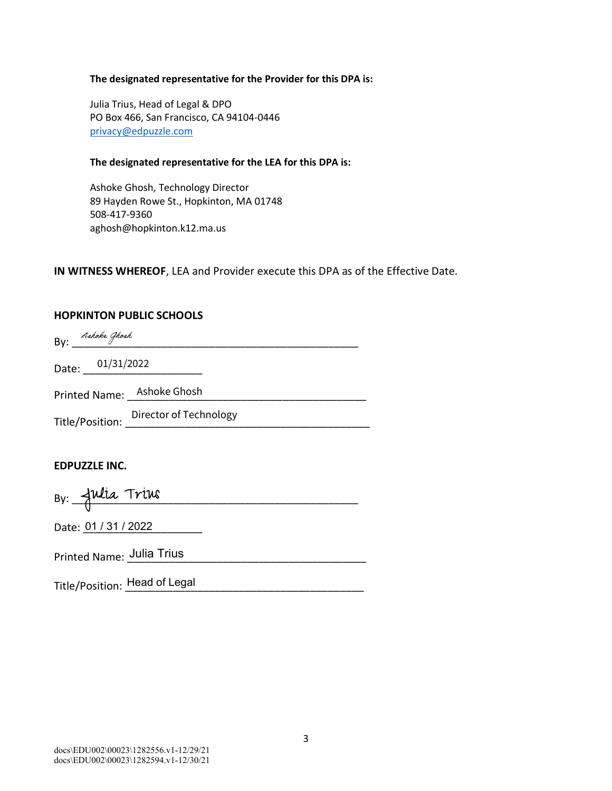#### **The designated representative for the Provider for this DPA is:**

Julia Trius, Head of Legal & DPO PO Box 466, San Francisco, CA 94104-0446 privacy@edpuzzle.com

#### **The designated representative for the LEA for this DPA is:**

Ashoke Ghosh, Technology Director 89 Hayden Rowe St., Hopkinton, MA 01748 508-417-9360 aghosh@hopkinton.k12.ma.us

#### **IN WITNESS WHEREOF**, LEA and Provider execute this DPA as of the Effective Date.

#### **HOPKINTON PUBLIC SCHOOLS**

| Ashoke Ghosh<br>By: |                            |
|---------------------|----------------------------|
| Date: 01/31/2022    |                            |
|                     | Printed Name: Ashoke Ghosh |
|                     | Director of Technology     |
| Title/Position:     |                            |

#### **EDPUZZLE INC.**

|  | By: Julia Trius |  |  |  |
|--|-----------------|--|--|--|
|  |                 |  |  |  |

Date: 01 / 31 / 2022

Printed Name: \_\_\_\_\_\_\_\_\_\_\_\_\_\_\_\_\_\_\_\_\_\_\_\_\_\_\_\_\_\_\_\_\_\_\_\_\_\_\_\_ Julia Trius

Title/Position: <u>Head of Legal \_\_\_\_\_\_\_\_\_\_\_\_\_\_\_\_\_\_\_\_\_\_\_\_\_\_\_\_\_\_\_\_\_</u>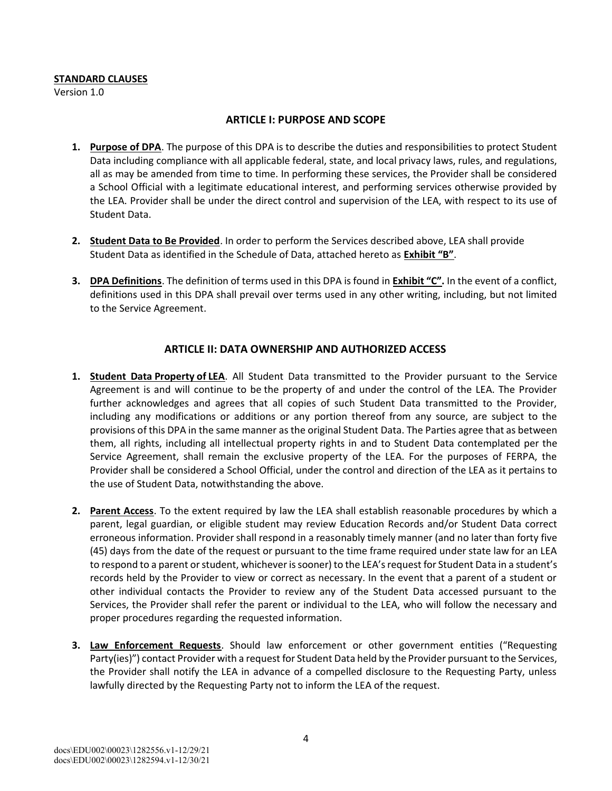#### **STANDARD CLAUSES**

Version 1.0

#### **ARTICLE I: PURPOSE AND SCOPE**

- **1. Purpose of DPA**. The purpose of this DPA is to describe the duties and responsibilities to protect Student Data including compliance with all applicable federal, state, and local privacy laws, rules, and regulations, all as may be amended from time to time. In performing these services, the Provider shall be considered a School Official with a legitimate educational interest, and performing services otherwise provided by the LEA. Provider shall be under the direct control and supervision of the LEA, with respect to its use of Student Data.
- **2. Student Data to Be Provided**. In order to perform the Services described above, LEA shall provide Student Data as identified in the Schedule of Data, attached hereto as **Exhibit "B"**.
- **3. DPA Definitions**. The definition of terms used in this DPA is found in **Exhibit "C".** In the event of a conflict, definitions used in this DPA shall prevail over terms used in any other writing, including, but not limited to the Service Agreement.

#### **ARTICLE II: DATA OWNERSHIP AND AUTHORIZED ACCESS**

- **1. Student Data Property of LEA**. All Student Data transmitted to the Provider pursuant to the Service Agreement is and will continue to be the property of and under the control of the LEA. The Provider further acknowledges and agrees that all copies of such Student Data transmitted to the Provider, including any modifications or additions or any portion thereof from any source, are subject to the provisions of this DPA in the same manner as the original Student Data. The Parties agree that as between them, all rights, including all intellectual property rights in and to Student Data contemplated per the Service Agreement, shall remain the exclusive property of the LEA. For the purposes of FERPA, the Provider shall be considered a School Official, under the control and direction of the LEA as it pertains to the use of Student Data, notwithstanding the above.
- **2. Parent Access**. To the extent required by law the LEA shall establish reasonable procedures by which a parent, legal guardian, or eligible student may review Education Records and/or Student Data correct erroneous information. Provider shall respond in a reasonably timely manner (and no later than forty five (45) days from the date of the request or pursuant to the time frame required under state law for an LEA to respond to a parent or student, whichever is sooner) to the LEA's request for Student Data in a student's records held by the Provider to view or correct as necessary. In the event that a parent of a student or other individual contacts the Provider to review any of the Student Data accessed pursuant to the Services, the Provider shall refer the parent or individual to the LEA, who will follow the necessary and proper procedures regarding the requested information.
- **3. Law Enforcement Requests**. Should law enforcement or other government entities ("Requesting Party(ies)") contact Provider with a request for Student Data held by the Provider pursuant to the Services, the Provider shall notify the LEA in advance of a compelled disclosure to the Requesting Party, unless lawfully directed by the Requesting Party not to inform the LEA of the request.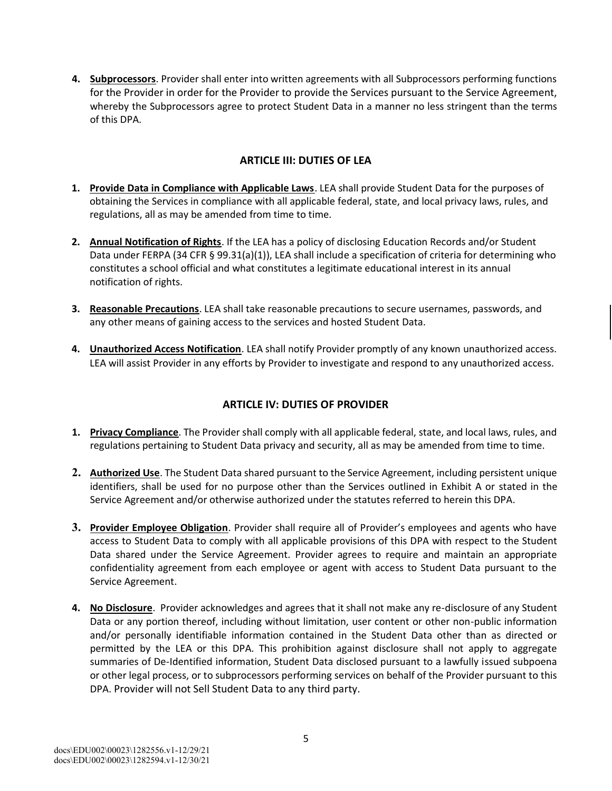**4. Subprocessors**. Provider shall enter into written agreements with all Subprocessors performing functions for the Provider in order for the Provider to provide the Services pursuant to the Service Agreement, whereby the Subprocessors agree to protect Student Data in a manner no less stringent than the terms of this DPA.

#### **ARTICLE III: DUTIES OF LEA**

- **1. Provide Data in Compliance with Applicable Laws**. LEA shall provide Student Data for the purposes of obtaining the Services in compliance with all applicable federal, state, and local privacy laws, rules, and regulations, all as may be amended from time to time.
- **2. Annual Notification of Rights**. If the LEA has a policy of disclosing Education Records and/or Student Data under FERPA (34 CFR § 99.31(a)(1)), LEA shall include a specification of criteria for determining who constitutes a school official and what constitutes a legitimate educational interest in its annual notification of rights.
- **3. Reasonable Precautions**. LEA shall take reasonable precautions to secure usernames, passwords, and any other means of gaining access to the services and hosted Student Data.
- **4. Unauthorized Access Notification**. LEA shall notify Provider promptly of any known unauthorized access. LEA will assist Provider in any efforts by Provider to investigate and respond to any unauthorized access.

#### **ARTICLE IV: DUTIES OF PROVIDER**

- **1. Privacy Compliance**. The Provider shall comply with all applicable federal, state, and local laws, rules, and regulations pertaining to Student Data privacy and security, all as may be amended from time to time.
- **2. Authorized Use**. The Student Data shared pursuant to the Service Agreement, including persistent unique identifiers, shall be used for no purpose other than the Services outlined in Exhibit A or stated in the Service Agreement and/or otherwise authorized under the statutes referred to herein this DPA.
- **3. Provider Employee Obligation**. Provider shall require all of Provider's employees and agents who have access to Student Data to comply with all applicable provisions of this DPA with respect to the Student Data shared under the Service Agreement. Provider agrees to require and maintain an appropriate confidentiality agreement from each employee or agent with access to Student Data pursuant to the Service Agreement.
- **4.** No Disclosure. Provider acknowledges and agrees that it shall not make any re-disclosure of any Student Data or any portion thereof, including without limitation, user content or other non-public information and/or personally identifiable information contained in the Student Data other than as directed or permitted by the LEA or this DPA. This prohibition against disclosure shall not apply to aggregate summaries of De-Identified information, Student Data disclosed pursuant to a lawfully issued subpoena or other legal process, or to subprocessors performing services on behalf of the Provider pursuant to this DPA. Provider will not Sell Student Data to any third party.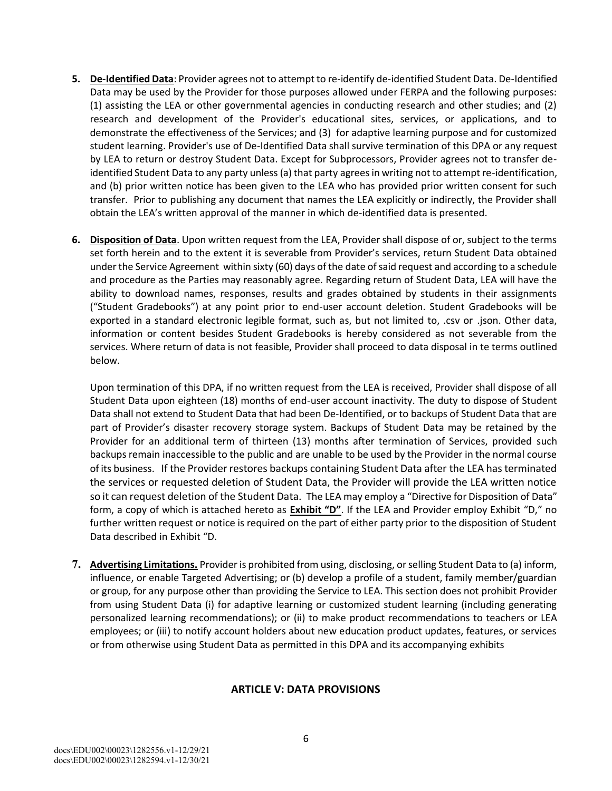- **5. De-Identified Data**: Provider agrees not to attempt to re-identify de-identified Student Data. De-Identified Data may be used by the Provider for those purposes allowed under FERPA and the following purposes: (1) assisting the LEA or other governmental agencies in conducting research and other studies; and (2) research and development of the Provider's educational sites, services, or applications, and to demonstrate the effectiveness of the Services; and (3) for adaptive learning purpose and for customized student learning. Provider's use of De-Identified Data shall survive termination of this DPA or any request by LEA to return or destroy Student Data. Except for Subprocessors, Provider agrees not to transfer deidentified Student Data to any party unless (a) that party agrees in writing not to attempt re-identification, and (b) prior written notice has been given to the LEA who has provided prior written consent for such transfer. Prior to publishing any document that names the LEA explicitly or indirectly, the Provider shall obtain the LEA's written approval of the manner in which de-identified data is presented.
- **6. Disposition of Data**. Upon written request from the LEA, Provider shall dispose of or, subject to the terms set forth herein and to the extent it is severable from Provider's services, return Student Data obtained under the Service Agreement within sixty (60) days of the date ofsaid request and according to a schedule and procedure as the Parties may reasonably agree. Regarding return of Student Data, LEA will have the ability to download names, responses, results and grades obtained by students in their assignments ("Student Gradebooks") at any point prior to end-user account deletion. Student Gradebooks will be exported in a standard electronic legible format, such as, but not limited to, .csv or .json. Other data, information or content besides Student Gradebooks is hereby considered as not severable from the services. Where return of data is not feasible, Provider shall proceed to data disposal in te terms outlined below.

Upon termination of this DPA, if no written request from the LEA is received, Provider shall dispose of all Student Data upon eighteen (18) months of end-user account inactivity. The duty to dispose of Student Data shall not extend to Student Data that had been De-Identified, or to backups of Student Data that are part of Provider's disaster recovery storage system. Backups of Student Data may be retained by the Provider for an additional term of thirteen (13) months after termination of Services, provided such backups remain inaccessible to the public and are unable to be used by the Provider in the normal course of its business. If the Provider restores backups containing Student Data after the LEA hasterminated the services or requested deletion of Student Data, the Provider will provide the LEA written notice so it can request deletion of the Student Data. The LEA may employ a "Directive for Disposition of Data" form, a copy of which is attached hereto as **Exhibit "D"**. If the LEA and Provider employ Exhibit "D," no further written request or notice is required on the part of either party prior to the disposition of Student Data described in Exhibit "D.

**7. Advertising Limitations.** Provider is prohibited from using, disclosing, orselling Student Data to (a) inform, influence, or enable Targeted Advertising; or (b) develop a profile of a student, family member/guardian or group, for any purpose other than providing the Service to LEA. This section does not prohibit Provider from using Student Data (i) for adaptive learning or customized student learning (including generating personalized learning recommendations); or (ii) to make product recommendations to teachers or LEA employees; or (iii) to notify account holders about new education product updates, features, or services or from otherwise using Student Data as permitted in this DPA and its accompanying exhibits

#### **ARTICLE V: DATA PROVISIONS**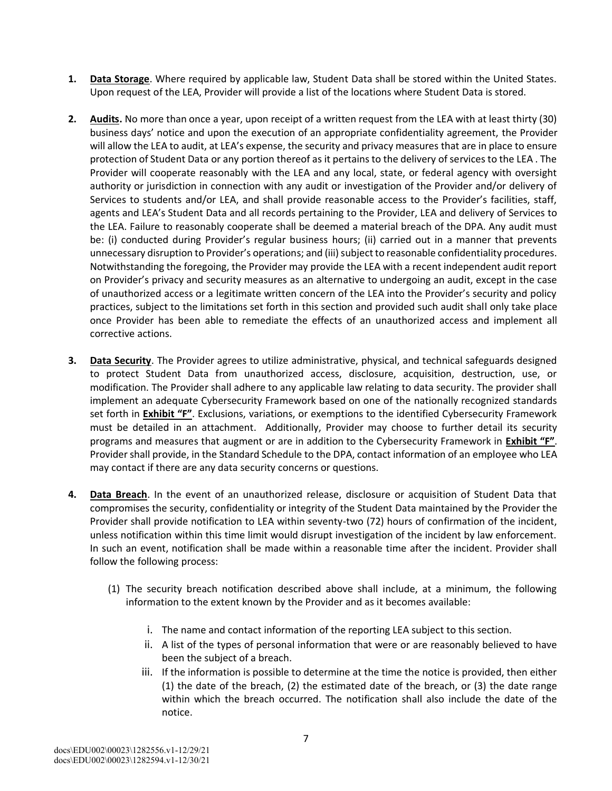- **1. Data Storage**. Where required by applicable law, Student Data shall be stored within the United States. Upon request of the LEA, Provider will provide a list of the locations where Student Data is stored.
- **2. Audits.** No more than once a year, upon receipt of a written request from the LEA with at least thirty (30) business days' notice and upon the execution of an appropriate confidentiality agreement, the Provider will allow the LEA to audit, at LEA's expense, the security and privacy measures that are in place to ensure protection of Student Data or any portion thereof as it pertains to the delivery of services to the LEA. The Provider will cooperate reasonably with the LEA and any local, state, or federal agency with oversight authority or jurisdiction in connection with any audit or investigation of the Provider and/or delivery of Services to students and/or LEA, and shall provide reasonable access to the Provider's facilities, staff, agents and LEA's Student Data and all records pertaining to the Provider, LEA and delivery of Services to the LEA. Failure to reasonably cooperate shall be deemed a material breach of the DPA. Any audit must be: (i) conducted during Provider's regular business hours; (ii) carried out in a manner that prevents unnecessary disruption to Provider's operations; and (iii) subject to reasonable confidentiality procedures. Notwithstanding the foregoing, the Provider may provide the LEA with a recent independent audit report on Provider's privacy and security measures as an alternative to undergoing an audit, except in the case of unauthorized access or a legitimate written concern of the LEA into the Provider's security and policy practices, subject to the limitations set forth in this section and provided such audit shall only take place once Provider has been able to remediate the effects of an unauthorized access and implement all corrective actions.
- **3. Data Security**. The Provider agrees to utilize administrative, physical, and technical safeguards designed to protect Student Data from unauthorized access, disclosure, acquisition, destruction, use, or modification. The Provider shall adhere to any applicable law relating to data security. The provider shall implement an adequate Cybersecurity Framework based on one of the nationally recognized standards set forth in **Exhibit "F"**. Exclusions, variations, or exemptions to the identified Cybersecurity Framework must be detailed in an attachment. Additionally, Provider may choose to further detail its security programs and measures that augment or are in addition to the Cybersecurity Framework in **Exhibit "F"**. Provider shall provide, in the Standard Schedule to the DPA, contact information of an employee who LEA may contact if there are any data security concerns or questions.
- **4. Data Breach**. In the event of an unauthorized release, disclosure or acquisition of Student Data that compromises the security, confidentiality or integrity of the Student Data maintained by the Provider the Provider shall provide notification to LEA within seventy-two (72) hours of confirmation of the incident, unless notification within this time limit would disrupt investigation of the incident by law enforcement. In such an event, notification shall be made within a reasonable time after the incident. Provider shall follow the following process:
	- (1) The security breach notification described above shall include, at a minimum, the following information to the extent known by the Provider and as it becomes available:
		- i. The name and contact information of the reporting LEA subject to this section.
		- ii. A list of the types of personal information that were or are reasonably believed to have been the subject of a breach.
		- iii. If the information is possible to determine at the time the notice is provided, then either (1) the date of the breach, (2) the estimated date of the breach, or (3) the date range within which the breach occurred. The notification shall also include the date of the notice.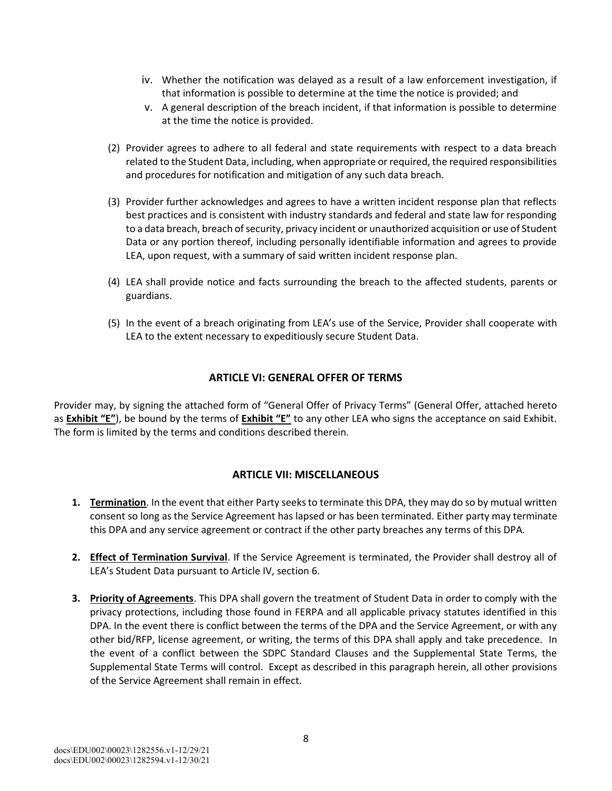- iv. Whether the notification was delayed as a result of a law enforcement investigation, if that information is possible to determine at the time the notice is provided; and
- v. A general description of the breach incident, if that information is possible to determine at the time the notice is provided.
- (2) Provider agrees to adhere to all federal and state requirements with respect to a data breach related to the Student Data, including, when appropriate or required, the required responsibilities and procedures for notification and mitigation of any such data breach.
- (3) Provider further acknowledges and agrees to have a written incident response plan that reflects best practices and is consistent with industry standards and federal and state law for responding to a data breach, breach of security, privacy incident or unauthorized acquisition or use of Student Data or any portion thereof, including personally identifiable information and agrees to provide LEA, upon request, with a summary of said written incident response plan.
- (4) LEA shall provide notice and facts surrounding the breach to the affected students, parents or guardians.
- (5) In the event of a breach originating from LEA's use of the Service, Provider shall cooperate with LEA to the extent necessary to expeditiously secure Student Data.

#### **ARTICLE VI: GENERAL OFFER OF TERMS**

Provider may, by signing the attached form of "General Offer of Privacy Terms" (General Offer, attached hereto as **Exhibit "E"**), be bound by the terms of **Exhibit "E"** to any other LEA who signs the acceptance on said Exhibit. The form is limited by the terms and conditions described therein.

#### **ARTICLE VII: MISCELLANEOUS**

- **1. Termination**. In the event that either Party seeksto terminate this DPA, they may do so by mutual written consent so long as the Service Agreement has lapsed or has been terminated. Either party may terminate this DPA and any service agreement or contract if the other party breaches any terms of this DPA.
- **2. Effect of Termination Survival**. If the Service Agreement is terminated, the Provider shall destroy all of LEA's Student Data pursuant to Article IV, section 6.
- **3. Priority of Agreements**. This DPA shall govern the treatment of Student Data in order to comply with the privacy protections, including those found in FERPA and all applicable privacy statutes identified in this DPA. In the event there is conflict between the terms of the DPA and the Service Agreement, or with any other bid/RFP, license agreement, or writing, the terms of this DPA shall apply and take precedence. In the event of a conflict between the SDPC Standard Clauses and the Supplemental State Terms, the Supplemental State Terms will control. Except as described in this paragraph herein, all other provisions of the Service Agreement shall remain in effect.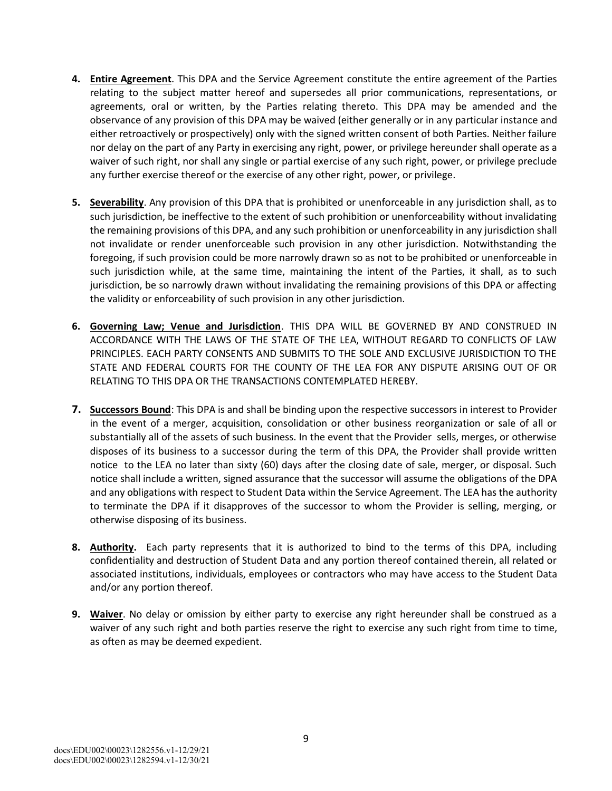- **4. Entire Agreement**. This DPA and the Service Agreement constitute the entire agreement of the Parties relating to the subject matter hereof and supersedes all prior communications, representations, or agreements, oral or written, by the Parties relating thereto. This DPA may be amended and the observance of any provision of this DPA may be waived (either generally or in any particular instance and either retroactively or prospectively) only with the signed written consent of both Parties. Neither failure nor delay on the part of any Party in exercising any right, power, or privilege hereunder shall operate as a waiver of such right, nor shall any single or partial exercise of any such right, power, or privilege preclude any further exercise thereof or the exercise of any other right, power, or privilege.
- **5. Severability**. Any provision of this DPA that is prohibited or unenforceable in any jurisdiction shall, as to such jurisdiction, be ineffective to the extent of such prohibition or unenforceability without invalidating the remaining provisions of this DPA, and any such prohibition or unenforceability in any jurisdiction shall not invalidate or render unenforceable such provision in any other jurisdiction. Notwithstanding the foregoing, if such provision could be more narrowly drawn so as not to be prohibited or unenforceable in such jurisdiction while, at the same time, maintaining the intent of the Parties, it shall, as to such jurisdiction, be so narrowly drawn without invalidating the remaining provisions of this DPA or affecting the validity or enforceability of such provision in any other jurisdiction.
- **6. Governing Law; Venue and Jurisdiction**. THIS DPA WILL BE GOVERNED BY AND CONSTRUED IN ACCORDANCE WITH THE LAWS OF THE STATE OF THE LEA, WITHOUT REGARD TO CONFLICTS OF LAW PRINCIPLES. EACH PARTY CONSENTS AND SUBMITS TO THE SOLE AND EXCLUSIVE JURISDICTION TO THE STATE AND FEDERAL COURTS FOR THE COUNTY OF THE LEA FOR ANY DISPUTE ARISING OUT OF OR RELATING TO THIS DPA OR THE TRANSACTIONS CONTEMPLATED HEREBY.
- **7. Successors Bound**: This DPA is and shall be binding upon the respective successors in interest to Provider in the event of a merger, acquisition, consolidation or other business reorganization or sale of all or substantially all of the assets of such business. In the event that the Provider sells, merges, or otherwise disposes of its business to a successor during the term of this DPA, the Provider shall provide written notice to the LEA no later than sixty (60) days after the closing date of sale, merger, or disposal. Such notice shall include a written, signed assurance that the successor will assume the obligations of the DPA and any obligations with respect to Student Data within the Service Agreement. The LEA has the authority to terminate the DPA if it disapproves of the successor to whom the Provider is selling, merging, or otherwise disposing of its business.
- **8. Authority.** Each party represents that it is authorized to bind to the terms of this DPA, including confidentiality and destruction of Student Data and any portion thereof contained therein, all related or associated institutions, individuals, employees or contractors who may have access to the Student Data and/or any portion thereof.
- **9. Waiver**. No delay or omission by either party to exercise any right hereunder shall be construed as a waiver of any such right and both parties reserve the right to exercise any such right from time to time, as often as may be deemed expedient.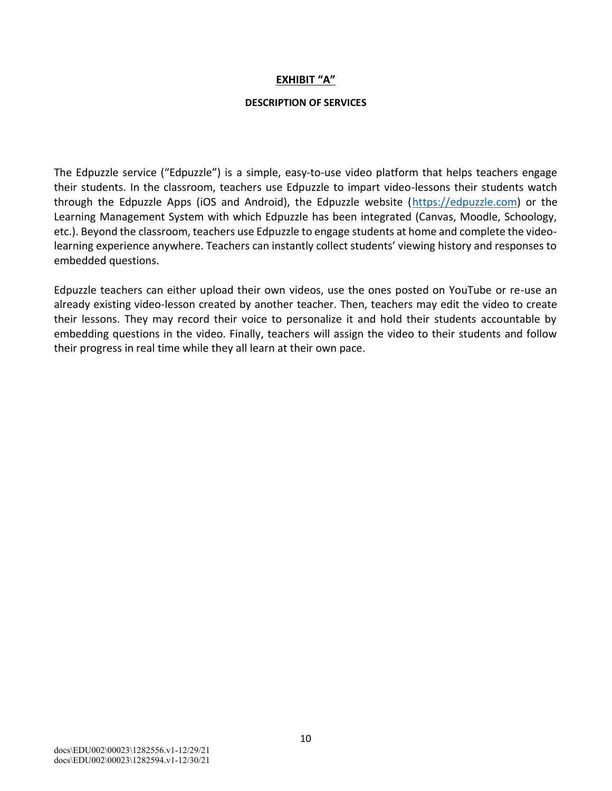#### **EXHIBIT "A"**

#### **DESCRIPTION OF SERVICES**

The Edpuzzle service ("Edpuzzle") is a simple, easy-to-use video platform that helps teachers engage their students. In the classroom, teachers use Edpuzzle to impart video-lessons their students watch through the Edpuzzle Apps (iOS and Android), the Edpuzzle website (https://edpuzzle.com) or the Learning Management System with which Edpuzzle has been integrated (Canvas, Moodle, Schoology, etc.). Beyond the classroom, teachers use Edpuzzle to engage students at home and complete the videolearning experience anywhere. Teachers can instantly collect students' viewing history and responses to embedded questions.

Edpuzzle teachers can either upload their own videos, use the ones posted on YouTube or re-use an already existing video-lesson created by another teacher. Then, teachers may edit the video to create their lessons. They may record their voice to personalize it and hold their students accountable by embedding questions in the video. Finally, teachers will assign the video to their students and follow their progress in real time while they all learn at their own pace.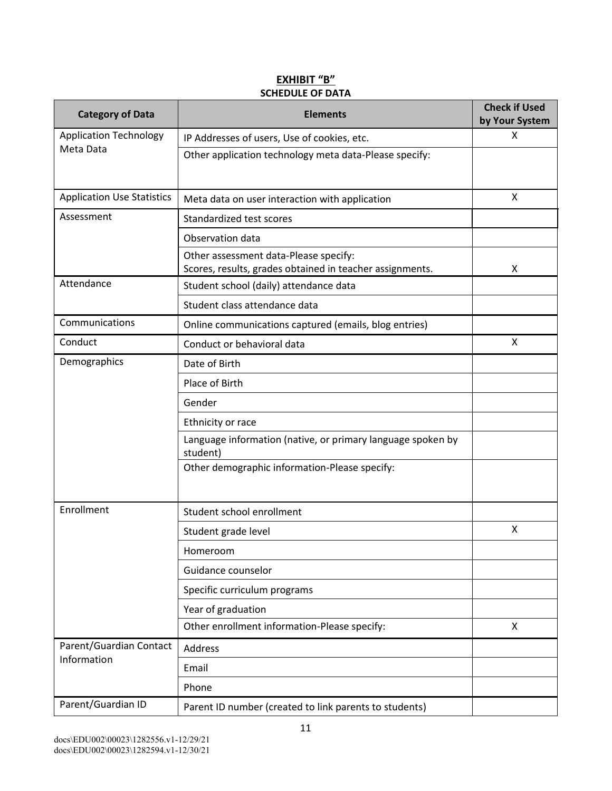#### **EXHIBIT "B" SCHEDULE OF DATA**

| <b>Category of Data</b>           | <b>Elements</b>                                                                                   | <b>Check if Used</b><br>by Your System |
|-----------------------------------|---------------------------------------------------------------------------------------------------|----------------------------------------|
| <b>Application Technology</b>     | IP Addresses of users, Use of cookies, etc.                                                       | X                                      |
| Meta Data                         | Other application technology meta data-Please specify:                                            |                                        |
| <b>Application Use Statistics</b> | Meta data on user interaction with application                                                    | X                                      |
| Assessment                        | Standardized test scores                                                                          |                                        |
|                                   | Observation data                                                                                  |                                        |
|                                   | Other assessment data-Please specify:<br>Scores, results, grades obtained in teacher assignments. | X                                      |
| Attendance                        | Student school (daily) attendance data                                                            |                                        |
|                                   | Student class attendance data                                                                     |                                        |
| Communications                    | Online communications captured (emails, blog entries)                                             |                                        |
| Conduct                           | Conduct or behavioral data                                                                        | X                                      |
| Demographics                      | Date of Birth                                                                                     |                                        |
|                                   | Place of Birth                                                                                    |                                        |
|                                   | Gender                                                                                            |                                        |
|                                   | Ethnicity or race                                                                                 |                                        |
|                                   | Language information (native, or primary language spoken by<br>student)                           |                                        |
|                                   | Other demographic information-Please specify:                                                     |                                        |
| Enrollment                        | Student school enrollment                                                                         |                                        |
|                                   | Student grade level                                                                               | Χ                                      |
|                                   | Homeroom                                                                                          |                                        |
|                                   | Guidance counselor                                                                                |                                        |
|                                   | Specific curriculum programs                                                                      |                                        |
|                                   | Year of graduation                                                                                |                                        |
|                                   | Other enrollment information-Please specify:                                                      | X                                      |
| Parent/Guardian Contact           | Address                                                                                           |                                        |
| Information                       | Email                                                                                             |                                        |
|                                   | Phone                                                                                             |                                        |
| Parent/Guardian ID                | Parent ID number (created to link parents to students)                                            |                                        |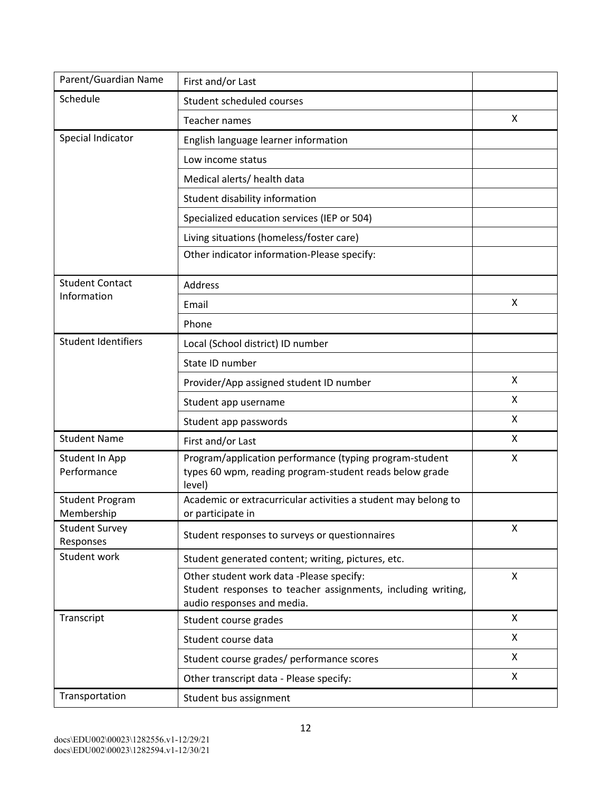| Parent/Guardian Name                 | First and/or Last                                                                                                                      |   |
|--------------------------------------|----------------------------------------------------------------------------------------------------------------------------------------|---|
| Schedule                             | Student scheduled courses                                                                                                              |   |
|                                      | Teacher names                                                                                                                          | X |
| Special Indicator                    | English language learner information                                                                                                   |   |
|                                      | Low income status                                                                                                                      |   |
|                                      | Medical alerts/ health data                                                                                                            |   |
|                                      | Student disability information                                                                                                         |   |
|                                      | Specialized education services (IEP or 504)                                                                                            |   |
|                                      | Living situations (homeless/foster care)                                                                                               |   |
|                                      | Other indicator information-Please specify:                                                                                            |   |
| <b>Student Contact</b>               | Address                                                                                                                                |   |
| Information                          | Email                                                                                                                                  | X |
|                                      | Phone                                                                                                                                  |   |
| <b>Student Identifiers</b>           | Local (School district) ID number                                                                                                      |   |
|                                      | State ID number                                                                                                                        |   |
|                                      | Provider/App assigned student ID number                                                                                                | X |
|                                      | Student app username                                                                                                                   | X |
|                                      | Student app passwords                                                                                                                  | X |
| <b>Student Name</b>                  | First and/or Last                                                                                                                      | X |
| Student In App<br>Performance        | Program/application performance (typing program-student<br>types 60 wpm, reading program-student reads below grade<br>level)           | X |
| <b>Student Program</b><br>Membership | Academic or extracurricular activities a student may belong to<br>or participate in                                                    |   |
| <b>Student Survey</b><br>Responses   | Student responses to surveys or questionnaires                                                                                         | X |
| Student work                         | Student generated content; writing, pictures, etc.                                                                                     |   |
|                                      | Other student work data -Please specify:<br>Student responses to teacher assignments, including writing,<br>audio responses and media. | X |
| Transcript                           | Student course grades                                                                                                                  | X |
|                                      | Student course data                                                                                                                    | X |
|                                      | Student course grades/ performance scores                                                                                              | X |
|                                      | Other transcript data - Please specify:                                                                                                | X |
| Transportation                       | Student bus assignment                                                                                                                 |   |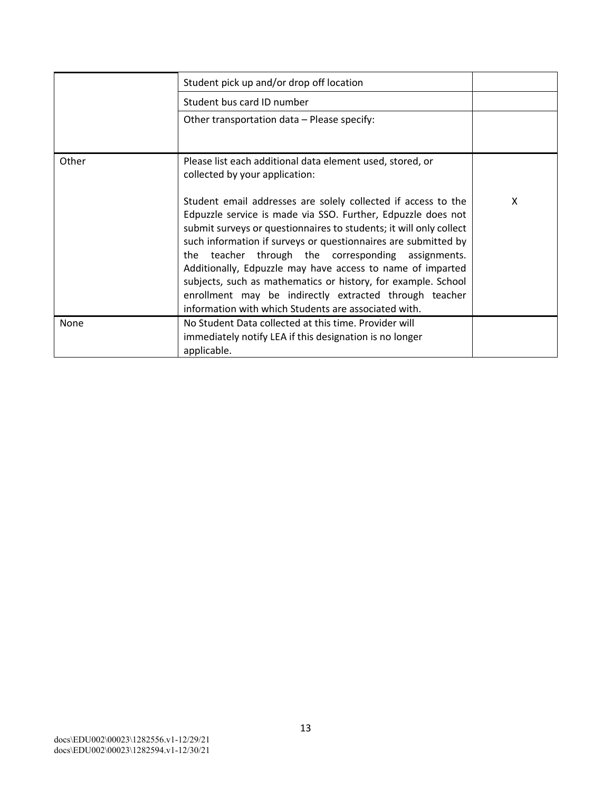|       | Student pick up and/or drop off location                                                                                                                                                                                                                                                                                                                                                                                                                                                                                                                                     |   |
|-------|------------------------------------------------------------------------------------------------------------------------------------------------------------------------------------------------------------------------------------------------------------------------------------------------------------------------------------------------------------------------------------------------------------------------------------------------------------------------------------------------------------------------------------------------------------------------------|---|
|       | Student bus card ID number                                                                                                                                                                                                                                                                                                                                                                                                                                                                                                                                                   |   |
|       | Other transportation data - Please specify:                                                                                                                                                                                                                                                                                                                                                                                                                                                                                                                                  |   |
|       |                                                                                                                                                                                                                                                                                                                                                                                                                                                                                                                                                                              |   |
| Other | Please list each additional data element used, stored, or<br>collected by your application:                                                                                                                                                                                                                                                                                                                                                                                                                                                                                  |   |
|       | Student email addresses are solely collected if access to the<br>Edpuzzle service is made via SSO. Further, Edpuzzle does not<br>submit surveys or questionnaires to students; it will only collect<br>such information if surveys or questionnaires are submitted by<br>the teacher through the corresponding assignments.<br>Additionally, Edpuzzle may have access to name of imparted<br>subjects, such as mathematics or history, for example. School<br>enrollment may be indirectly extracted through teacher<br>information with which Students are associated with. | X |
| None  | No Student Data collected at this time. Provider will<br>immediately notify LEA if this designation is no longer<br>applicable.                                                                                                                                                                                                                                                                                                                                                                                                                                              |   |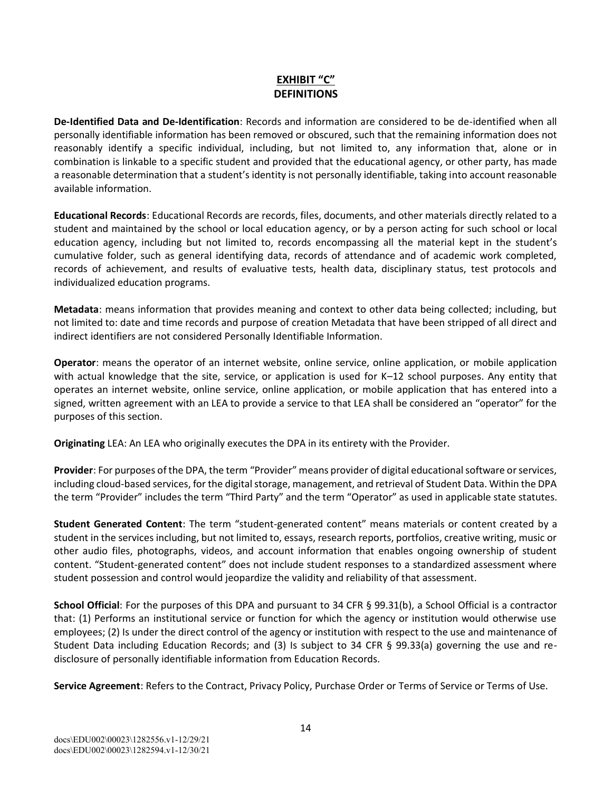#### **EXHIBIT "C" DEFINITIONS**

**DeIdentified Data and DeIdentification**: Records and information are considered to be deidentified when all personally identifiable information has been removed or obscured, such that the remaining information does not reasonably identify a specific individual, including, but not limited to, any information that, alone or in combination is linkable to a specific student and provided that the educational agency, or other party, has made a reasonable determination that a student's identity is not personally identifiable, taking into account reasonable available information.

**Educational Records**: Educational Records are records, files, documents, and other materials directly related to a student and maintained by the school or local education agency, or by a person acting for such school or local education agency, including but not limited to, records encompassing all the material kept in the student's cumulative folder, such as general identifying data, records of attendance and of academic work completed, records of achievement, and results of evaluative tests, health data, disciplinary status, test protocols and individualized education programs.

**Metadata**: means information that provides meaning and context to other data being collected; including, but not limited to: date and time records and purpose of creation Metadata that have been stripped of all direct and indirect identifiers are not considered Personally Identifiable Information.

**Operator**: means the operator of an internet website, online service, online application, or mobile application with actual knowledge that the site, service, or application is used for K–12 school purposes. Any entity that operates an internet website, online service, online application, or mobile application that has entered into a signed, written agreement with an LEA to provide a service to that LEA shall be considered an "operator" for the purposes of this section.

**Originating** LEA: An LEA who originally executes the DPA in its entirety with the Provider.

**Provider**: For purposes of the DPA, the term "Provider" means provider of digital educational software or services, including cloud-based services, for the digital storage, management, and retrieval of Student Data. Within the DPA the term "Provider" includes the term "Third Party" and the term "Operator" as used in applicable state statutes.

**Student Generated Content**: The term "student-generated content" means materials or content created by a student in the services including, but not limited to, essays, research reports, portfolios, creative writing, music or other audio files, photographs, videos, and account information that enables ongoing ownership of student content. "Student-generated content" does not include student responses to a standardized assessment where student possession and control would jeopardize the validity and reliability of that assessment.

**School Official**: For the purposes of this DPA and pursuant to 34 CFR § 99.31(b), a School Official is a contractor that: (1) Performs an institutional service or function for which the agency or institution would otherwise use employees; (2) Is under the direct control of the agency or institution with respect to the use and maintenance of Student Data including Education Records; and (3) Is subject to 34 CFR § 99.33(a) governing the use and redisclosure of personally identifiable information from Education Records.

**Service Agreement**: Refers to the Contract, Privacy Policy, Purchase Order or Terms of Service or Terms of Use.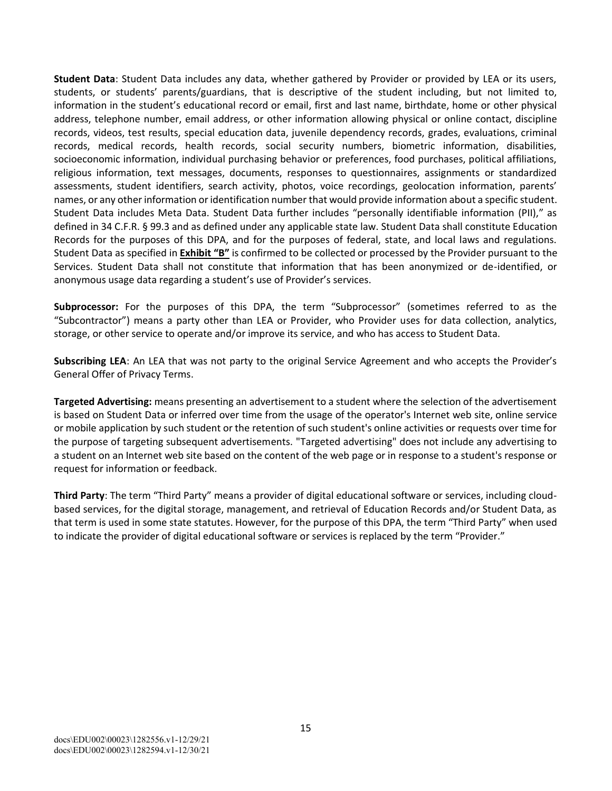**Student Data**: Student Data includes any data, whether gathered by Provider or provided by LEA or its users, students, or students' parents/guardians, that is descriptive of the student including, but not limited to, information in the student's educational record or email, first and last name, birthdate, home or other physical address, telephone number, email address, or other information allowing physical or online contact, discipline records, videos, test results, special education data, juvenile dependency records, grades, evaluations, criminal records, medical records, health records, social security numbers, biometric information, disabilities, socioeconomic information, individual purchasing behavior or preferences, food purchases, political affiliations, religious information, text messages, documents, responses to questionnaires, assignments or standardized assessments, student identifiers, search activity, photos, voice recordings, geolocation information, parents' names, or any other information or identification number that would provide information about a specific student. Student Data includes Meta Data. Student Data further includes "personally identifiable information (PII)," as defined in 34 C.F.R. § 99.3 and as defined under any applicable state law. Student Data shall constitute Education Records for the purposes of this DPA, and for the purposes of federal, state, and local laws and regulations. Student Data as specified in **Exhibit "B"** is confirmed to be collected or processed by the Provider pursuant to the Services. Student Data shall not constitute that information that has been anonymized or de-identified, or anonymous usage data regarding a student's use of Provider's services.

**Subprocessor:** For the purposes of this DPA, the term "Subprocessor" (sometimes referred to as the "Subcontractor") means a party other than LEA or Provider, who Provider uses for data collection, analytics, storage, or other service to operate and/or improve its service, and who has access to Student Data.

**Subscribing LEA**: An LEA that was not party to the original Service Agreement and who accepts the Provider's General Offer of Privacy Terms.

**Targeted Advertising:** means presenting an advertisement to a student where the selection of the advertisement is based on Student Data or inferred over time from the usage of the operator's Internet web site, online service or mobile application by such student or the retention of such student's online activities or requests over time for the purpose of targeting subsequent advertisements. "Targeted advertising" does not include any advertising to a student on an Internet web site based on the content of the web page or in response to a student's response or request for information or feedback.

**Third Party**: The term "Third Party" means a provider of digital educational software or services, including cloudbased services, for the digital storage, management, and retrieval of Education Records and/or Student Data, as that term is used in some state statutes. However, for the purpose of this DPA, the term "Third Party" when used to indicate the provider of digital educational software or services is replaced by the term "Provider."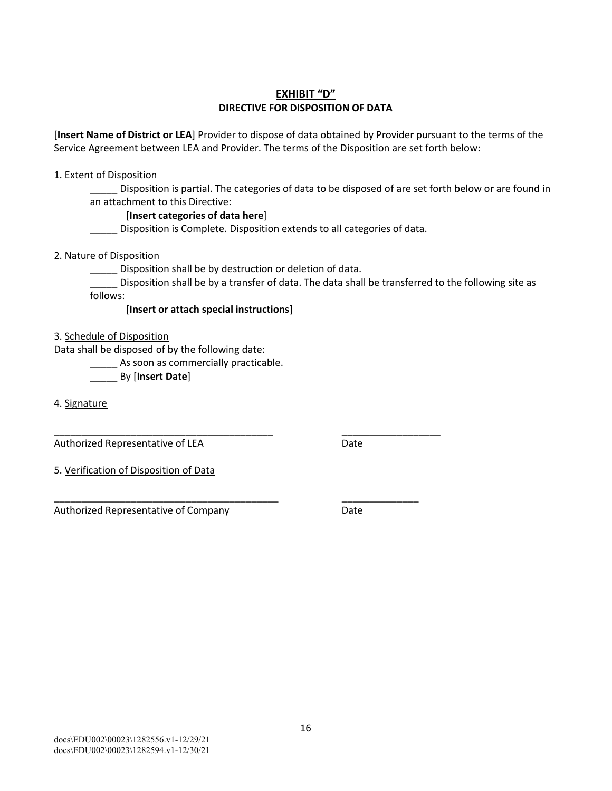#### **EXHIBIT "D" DIRECTIVE FOR DISPOSITION OF DATA**

[**Insert Name of District or LEA**] Provider to dispose of data obtained by Provider pursuant to the terms of the Service Agreement between LEA and Provider. The terms of the Disposition are set forth below:

#### 1. Extent of Disposition

Disposition is partial. The categories of data to be disposed of are set forth below or are found in an attachment to this Directive:

#### [**Insert categories of data here**]

\_\_\_\_\_ Disposition is Complete. Disposition extends to all categories of data.

#### 2. Nature of Disposition

\_\_\_\_\_ Disposition shall be by destruction or deletion of data.

\_\_\_\_\_\_\_\_\_\_\_\_\_\_\_\_\_\_\_\_\_\_\_\_\_\_\_\_\_\_\_\_\_\_\_\_\_\_\_\_ \_\_\_\_\_\_\_\_\_\_\_\_\_\_\_\_\_\_

\_\_\_\_\_\_\_\_\_\_\_\_\_\_\_\_\_\_\_\_\_\_\_\_\_\_\_\_\_\_\_\_\_\_\_\_\_\_\_\_\_ \_\_\_\_\_\_\_\_\_\_\_\_\_\_

\_\_\_\_\_ Disposition shall be by a transfer of data. The data shall be transferred to the following site as follows:

[**Insert or attach special instructions**]

3. Schedule of Disposition

Data shall be disposed of by the following date:

\_\_\_\_\_ As soon as commercially practicable.

\_\_\_\_\_ By [**Insert Date**]

4. Signature

Authorized Representative of LEA Date

5. Verification of Disposition of Data

Authorized Representative of Company **Brand Constants** Date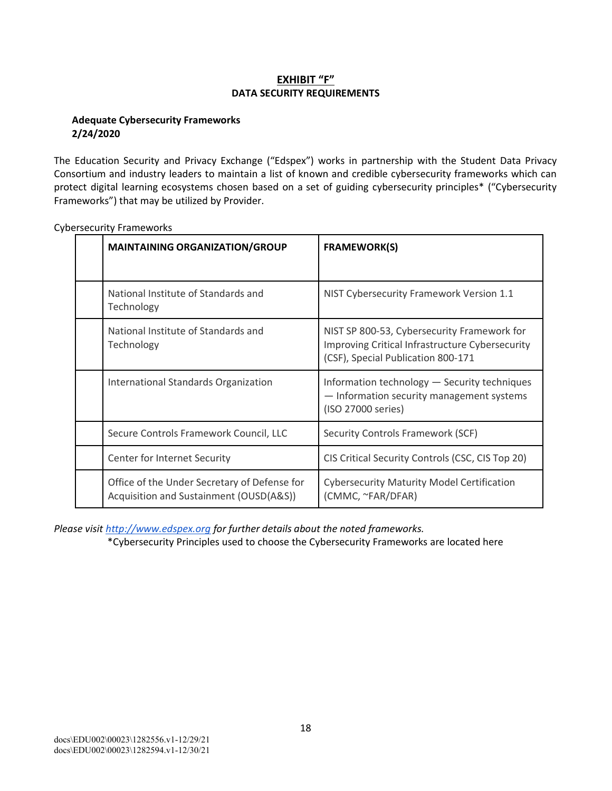#### **EXHIBIT "F" DATA SECURITY REQUIREMENTS**

#### **Adequate Cybersecurity Frameworks 2/24/2020**

The Education Security and Privacy Exchange ("Edspex") works in partnership with the Student Data Privacy Consortium and industry leaders to maintain a list of known and credible cybersecurity frameworks which can protect digital learning ecosystems chosen based on a set of guiding cybersecurity principles\* ("Cybersecurity Frameworks") that may be utilized by Provider.

| <b>MAINTAINING ORGANIZATION/GROUP</b>                                                   | <b>FRAMEWORK(S)</b>                                                                                                                  |
|-----------------------------------------------------------------------------------------|--------------------------------------------------------------------------------------------------------------------------------------|
| National Institute of Standards and<br>Technology                                       | NIST Cybersecurity Framework Version 1.1                                                                                             |
| National Institute of Standards and<br>Technology                                       | NIST SP 800-53, Cybersecurity Framework for<br>Improving Critical Infrastructure Cybersecurity<br>(CSF), Special Publication 800-171 |
| International Standards Organization                                                    | Information technology - Security techniques<br>- Information security management systems<br>(ISO 27000 series)                      |
| Secure Controls Framework Council, LLC                                                  | <b>Security Controls Framework (SCF)</b>                                                                                             |
| Center for Internet Security                                                            | CIS Critical Security Controls (CSC, CIS Top 20)                                                                                     |
| Office of the Under Secretary of Defense for<br>Acquisition and Sustainment (OUSD(A&S)) | <b>Cybersecurity Maturity Model Certification</b><br>(CMMC, ~FAR/DFAR)                                                               |

Cybersecurity Frameworks

*Please visit http://www.edspex.org for further details about the noted frameworks.*

\*Cybersecurity Principles used to choose the Cybersecurity Frameworks are located here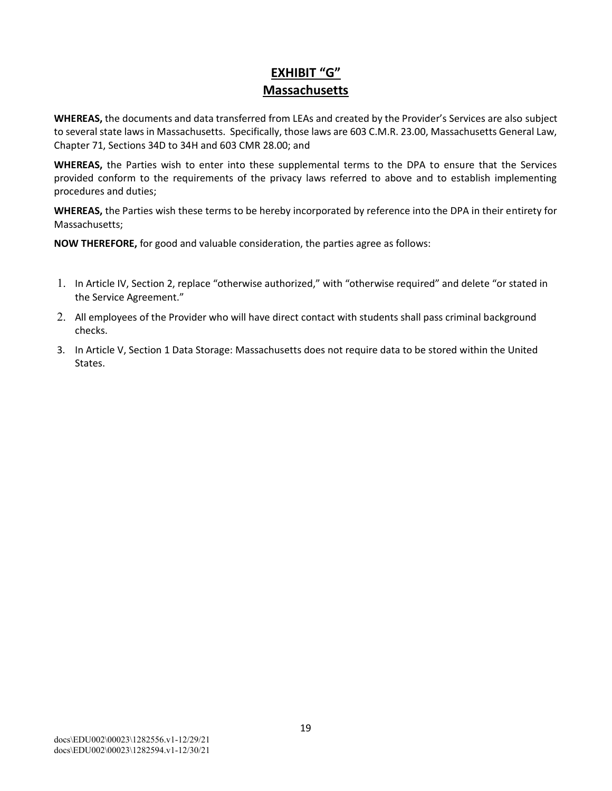## **EXHIBIT "G" Massachusetts**

**WHEREAS,** the documents and data transferred from LEAs and created by the Provider's Services are also subject to several state laws in Massachusetts. Specifically, those laws are 603 C.M.R. 23.00, Massachusetts General Law, Chapter 71, Sections 34D to 34H and 603 CMR 28.00; and

**WHEREAS,** the Parties wish to enter into these supplemental terms to the DPA to ensure that the Services provided conform to the requirements of the privacy laws referred to above and to establish implementing procedures and duties;

**WHEREAS,** the Parties wish these terms to be hereby incorporated by reference into the DPA in their entirety for Massachusetts;

- 1. In Article IV, Section 2, replace "otherwise authorized," with "otherwise required" and delete "or stated in the Service Agreement."
- 2. All employees of the Provider who will have direct contact with students shall pass criminal background checks.
- 3. In Article V, Section 1 Data Storage: Massachusetts does not require data to be stored within the United States.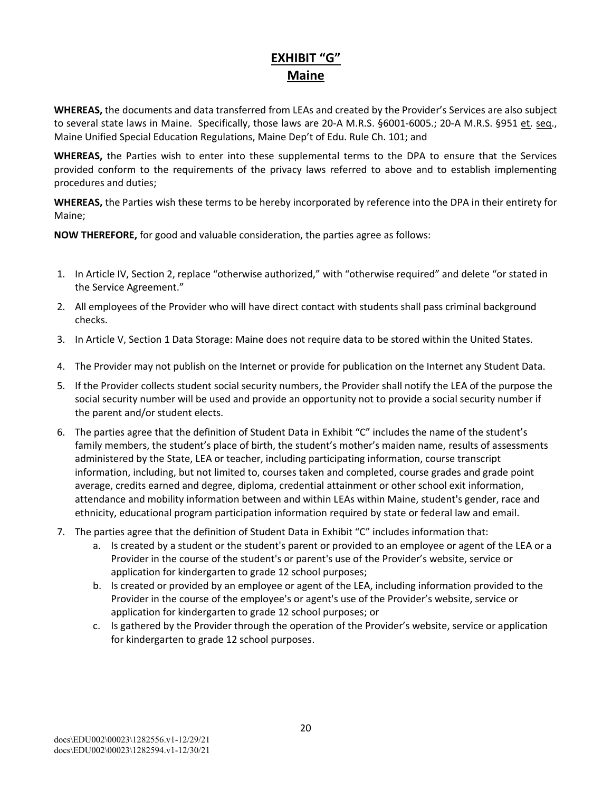### **EXHIBIT "G" Maine**

**WHEREAS,** the documents and data transferred from LEAs and created by the Provider's Services are also subject to several state laws in Maine. Specifically, those laws are 20-A M.R.S. §6001-6005.; 20-A M.R.S. §951 et. seq., Maine Unified Special Education Regulations, Maine Dep't of Edu. Rule Ch. 101; and

**WHEREAS,** the Parties wish to enter into these supplemental terms to the DPA to ensure that the Services provided conform to the requirements of the privacy laws referred to above and to establish implementing procedures and duties;

**WHEREAS,** the Parties wish these terms to be hereby incorporated by reference into the DPA in their entirety for Maine;

- 1. In Article IV, Section 2, replace "otherwise authorized," with "otherwise required" and delete "or stated in the Service Agreement."
- 2. All employees of the Provider who will have direct contact with students shall pass criminal background checks.
- 3. In Article V, Section 1 Data Storage: Maine does not require data to be stored within the United States.
- 4. The Provider may not publish on the Internet or provide for publication on the Internet any Student Data.
- 5. If the Provider collects student social security numbers, the Provider shall notify the LEA of the purpose the social security number will be used and provide an opportunity not to provide a social security number if the parent and/or student elects.
- 6. The parties agree that the definition of Student Data in Exhibit "C" includes the name of the student's family members, the student's place of birth, the student's mother's maiden name, results of assessments administered by the State, LEA or teacher, including participating information, course transcript information, including, but not limited to, courses taken and completed, course grades and grade point average, credits earned and degree, diploma, credential attainment or other school exit information, attendance and mobility information between and within LEAs within Maine, student's gender, race and ethnicity, educational program participation information required by state or federal law and email.
- 7. The parties agree that the definition of Student Data in Exhibit "C" includes information that:
	- a. Is created by a student or the student's parent or provided to an employee or agent of the LEA or a Provider in the course of the student's or parent's use of the Provider's website, service or application for kindergarten to grade 12 school purposes;
	- b. Is created or provided by an employee or agent of the LEA, including information provided to the Provider in the course of the employee's or agent's use of the Provider's website, service or application for kindergarten to grade 12 school purposes; or
	- c. Is gathered by the Provider through the operation of the Provider's website, service or application for kindergarten to grade 12 school purposes.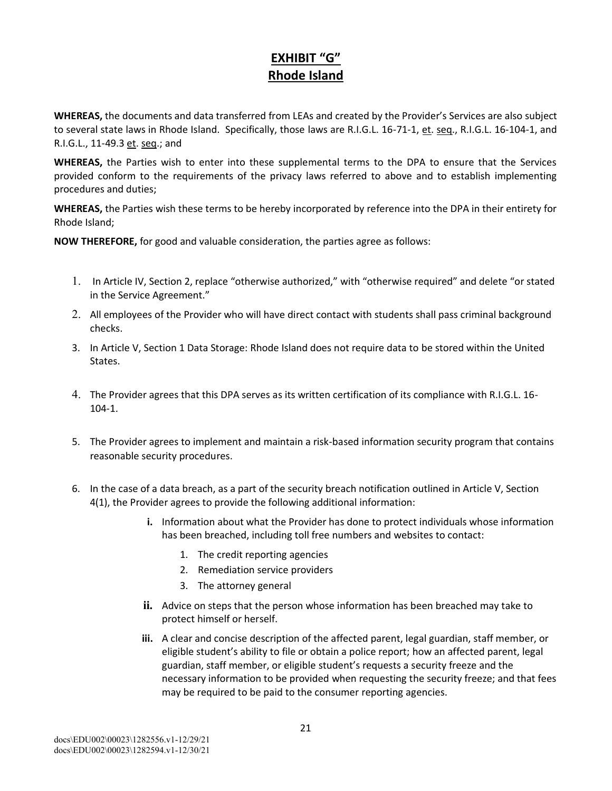#### **EXHIBIT "G" Rhode Island**

**WHEREAS,** the documents and data transferred from LEAs and created by the Provider's Services are also subject to several state laws in Rhode Island. Specifically, those laws are R.I.G.L. 16-71-1, et. seq., R.I.G.L. 16-104-1, and R.I.G.L., 11-49.3 et. seq.; and

**WHEREAS,** the Parties wish to enter into these supplemental terms to the DPA to ensure that the Services provided conform to the requirements of the privacy laws referred to above and to establish implementing procedures and duties;

**WHEREAS,** the Parties wish these terms to be hereby incorporated by reference into the DPA in their entirety for Rhode Island;

- 1. In Article IV, Section 2, replace "otherwise authorized," with "otherwise required" and delete "or stated in the Service Agreement."
- 2. All employees of the Provider who will have direct contact with students shall pass criminal background checks.
- 3. In Article V, Section 1 Data Storage: Rhode Island does not require data to be stored within the United States.
- 4. The Provider agrees that this DPA serves as its written certification of its compliance with R.I.G.L. 16  $104 - 1$ .
- 5. The Provider agrees to implement and maintain a risk-based information security program that contains reasonable security procedures.
- 6. In the case of a data breach, as a part of the security breach notification outlined in Article V, Section 4(1), the Provider agrees to provide the following additional information:
	- **i.** Information about what the Provider has done to protect individuals whose information has been breached, including toll free numbers and websites to contact:
		- 1. The credit reporting agencies
		- 2. Remediation service providers
		- 3. The attorney general
	- **ii.** Advice on steps that the person whose information has been breached may take to protect himself or herself.
	- **iii.** A clear and concise description of the affected parent, legal guardian, staff member, or eligible student's ability to file or obtain a police report; how an affected parent, legal guardian, staff member, or eligible student's requests a security freeze and the necessary information to be provided when requesting the security freeze; and that fees may be required to be paid to the consumer reporting agencies.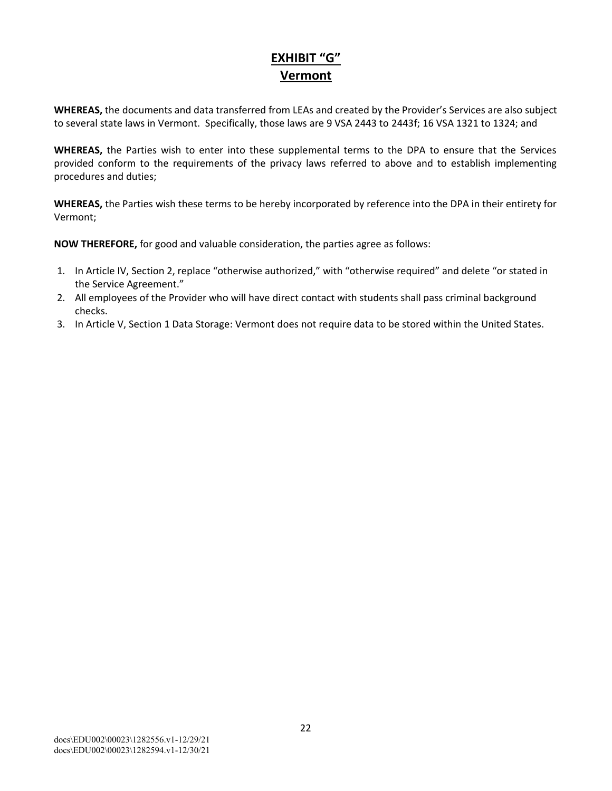## **EXHIBIT "G" Vermont**

**WHEREAS,** the documents and data transferred from LEAs and created by the Provider's Services are also subject to several state laws in Vermont. Specifically, those laws are 9 VSA 2443 to 2443f; 16 VSA 1321 to 1324; and

**WHEREAS,** the Parties wish to enter into these supplemental terms to the DPA to ensure that the Services provided conform to the requirements of the privacy laws referred to above and to establish implementing procedures and duties;

**WHEREAS,** the Parties wish these terms to be hereby incorporated by reference into the DPA in their entirety for Vermont;

- 1. In Article IV, Section 2, replace "otherwise authorized," with "otherwise required" and delete "or stated in the Service Agreement."
- 2. All employees of the Provider who will have direct contact with students shall pass criminal background checks.
- 3. In Article V, Section 1 Data Storage: Vermont does not require data to be stored within the United States.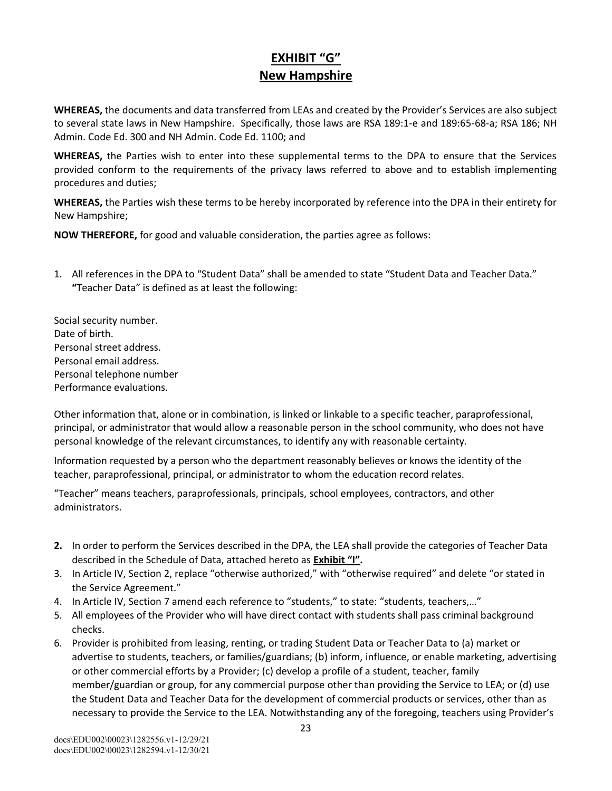### **EXHIBIT "G" New Hampshire**

**WHEREAS,** the documents and data transferred from LEAs and created by the Provider's Services are also subject to several state laws in New Hampshire. Specifically, those laws are RSA 189:1-e and 189:65-68-a; RSA 186; NH Admin. Code Ed. 300 and NH Admin. Code Ed. 1100; and

**WHEREAS,** the Parties wish to enter into these supplemental terms to the DPA to ensure that the Services provided conform to the requirements of the privacy laws referred to above and to establish implementing procedures and duties;

**WHEREAS,** the Parties wish these terms to be hereby incorporated by reference into the DPA in their entirety for New Hampshire;

**NOW THEREFORE,** for good and valuable consideration, the parties agree as follows:

1. All references in the DPA to "Student Data" shall be amended to state "Student Data and Teacher Data." **"**Teacher Data" is defined as at least the following:

Social security number. Date of birth. Personal street address. Personal email address. Personal telephone number Performance evaluations.

Other information that, alone or in combination, is linked or linkable to a specific teacher, paraprofessional, principal, or administrator that would allow a reasonable person in the school community, who does not have personal knowledge of the relevant circumstances, to identify any with reasonable certainty.

Information requested by a person who the department reasonably believes or knows the identity of the teacher, paraprofessional, principal, or administrator to whom the education record relates.

"Teacher" means teachers, paraprofessionals, principals, school employees, contractors, and other administrators.

- **2.** In order to perform the Services described in the DPA, the LEA shall provide the categories of Teacher Data described in the Schedule of Data, attached hereto as **Exhibit "I".**
- 3. In Article IV, Section 2, replace "otherwise authorized," with "otherwise required" and delete "or stated in the Service Agreement."
- 4. In Article IV, Section 7 amend each reference to "students," to state: "students, teachers,…"
- 5. All employees of the Provider who will have direct contact with students shall pass criminal background checks.
- 6. Provider is prohibited from leasing, renting, or trading Student Data or Teacher Data to (a) market or advertise to students, teachers, or families/guardians; (b) inform, influence, or enable marketing, advertising or other commercial efforts by a Provider; (c) develop a profile of a student, teacher, family member/guardian or group, for any commercial purpose other than providing the Service to LEA; or (d) use the Student Data and Teacher Data for the development of commercial products or services, other than as necessary to provide the Service to the LEA. Notwithstanding any of the foregoing, teachers using Provider's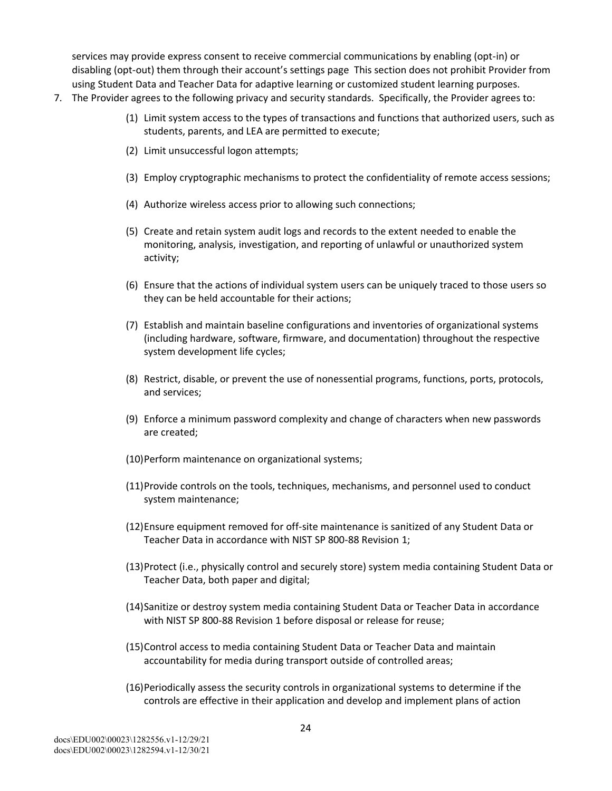services may provide express consent to receive commercial communications by enabling (opt-in) or disabling (opt-out) them through their account's settings page This section does not prohibit Provider from using Student Data and Teacher Data for adaptive learning or customized student learning purposes.

- 7. The Provider agrees to the following privacy and security standards. Specifically, the Provider agrees to:
	- (1) Limit system access to the types of transactions and functions that authorized users, such as students, parents, and LEA are permitted to execute;
	- (2) Limit unsuccessful logon attempts;
	- (3) Employ cryptographic mechanisms to protect the confidentiality of remote access sessions;
	- (4) Authorize wireless access prior to allowing such connections;
	- (5) Create and retain system audit logs and records to the extent needed to enable the monitoring, analysis, investigation, and reporting of unlawful or unauthorized system activity;
	- (6) Ensure that the actions of individual system users can be uniquely traced to those users so they can be held accountable for their actions;
	- (7) Establish and maintain baseline configurations and inventories of organizational systems (including hardware, software, firmware, and documentation) throughout the respective system development life cycles;
	- (8) Restrict, disable, or prevent the use of nonessential programs, functions, ports, protocols, and services;
	- (9) Enforce a minimum password complexity and change of characters when new passwords are created;
	- (10)Perform maintenance on organizational systems;
	- (11)Provide controls on the tools, techniques, mechanisms, and personnel used to conduct system maintenance;
	- (12)Ensure equipment removed for off-site maintenance is sanitized of any Student Data or Teacher Data in accordance with NIST SP 800-88 Revision 1;
	- (13)Protect (i.e., physically control and securely store) system media containing Student Data or Teacher Data, both paper and digital;
	- (14)Sanitize or destroy system media containing Student Data or Teacher Data in accordance with NIST SP 800-88 Revision 1 before disposal or release for reuse;
	- (15)Control access to media containing Student Data or Teacher Data and maintain accountability for media during transport outside of controlled areas;
	- (16)Periodically assess the security controls in organizational systems to determine if the controls are effective in their application and develop and implement plans of action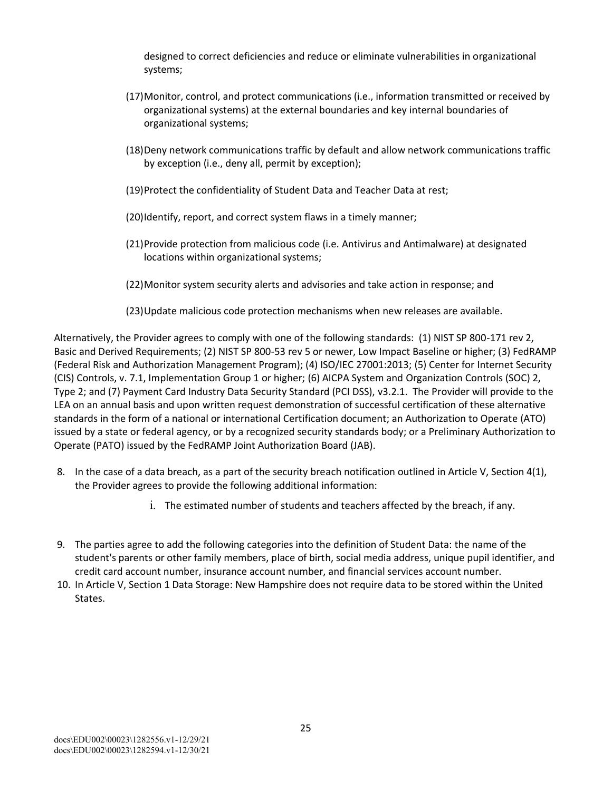designed to correct deficiencies and reduce or eliminate vulnerabilities in organizational systems;

- (17)Monitor, control, and protect communications (i.e., information transmitted or received by organizational systems) at the external boundaries and key internal boundaries of organizational systems;
- (18)Deny network communications traffic by default and allow network communications traffic by exception (i.e., deny all, permit by exception);
- (19)Protect the confidentiality of Student Data and Teacher Data at rest;
- (20)Identify, report, and correct system flaws in a timely manner;
- (21)Provide protection from malicious code (i.e. Antivirus and Antimalware) at designated locations within organizational systems;
- (22)Monitor system security alerts and advisories and take action in response; and
- (23)Update malicious code protection mechanisms when new releases are available.

Alternatively, the Provider agrees to comply with one of the following standards: (1) NIST SP 800-171 rev 2, Basic and Derived Requirements; (2) NIST SP 800-53 rev 5 or newer, Low Impact Baseline or higher; (3) FedRAMP (Federal Risk and Authorization Management Program); (4) ISO/IEC 27001:2013; (5) Center for Internet Security (CIS) Controls, v. 7.1, Implementation Group 1 or higher; (6) AICPA System and Organization Controls (SOC) 2, Type 2; and (7) Payment Card Industry Data Security Standard (PCI DSS), v3.2.1. The Provider will provide to the LEA on an annual basis and upon written request demonstration of successful certification of these alternative standards in the form of a national or international Certification document; an Authorization to Operate (ATO) issued by a state or federal agency, or by a recognized security standards body; or a Preliminary Authorization to Operate (PATO) issued by the FedRAMP Joint Authorization Board (JAB).

- 8. In the case of a data breach, as a part of the security breach notification outlined in Article V, Section 4(1), the Provider agrees to provide the following additional information:
	- i. The estimated number of students and teachers affected by the breach, if any.
- 9. The parties agree to add the following categories into the definition of Student Data: the name of the student's parents or other family members, place of birth, social media address, unique pupil identifier, and credit card account number, insurance account number, and financial services account number.
- 10. In Article V, Section 1 Data Storage: New Hampshire does not require data to be stored within the United States.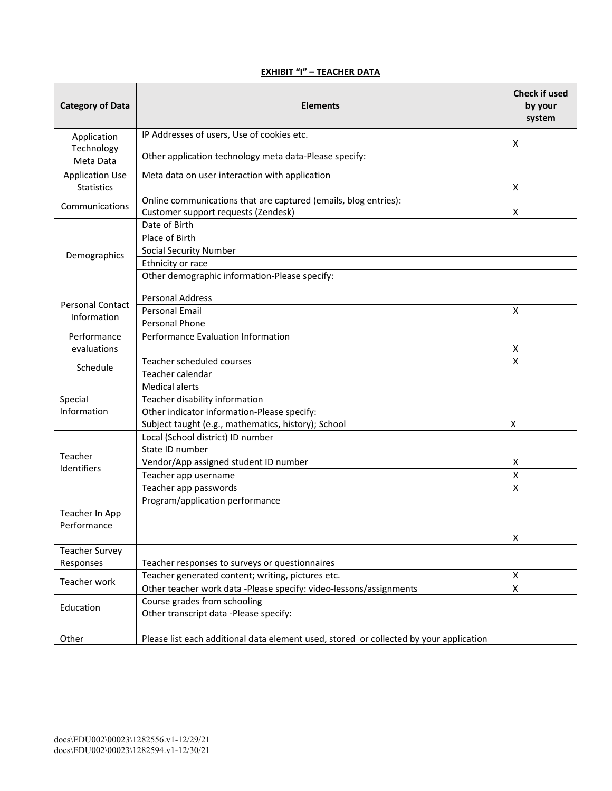| <b>EXHIBIT "I" - TEACHER DATA</b>           |                                                                                                        |                                           |
|---------------------------------------------|--------------------------------------------------------------------------------------------------------|-------------------------------------------|
| <b>Category of Data</b>                     | <b>Elements</b>                                                                                        | <b>Check if used</b><br>by your<br>system |
| Application                                 | IP Addresses of users, Use of cookies etc.                                                             | Х                                         |
| Technology<br>Meta Data                     | Other application technology meta data-Please specify:                                                 |                                           |
| <b>Application Use</b><br><b>Statistics</b> | Meta data on user interaction with application                                                         | х                                         |
| Communications                              | Online communications that are captured (emails, blog entries):<br>Customer support requests (Zendesk) | X                                         |
|                                             | Date of Birth<br>Place of Birth                                                                        |                                           |
| Demographics                                | <b>Social Security Number</b><br>Ethnicity or race                                                     |                                           |
|                                             | Other demographic information-Please specify:                                                          |                                           |
| <b>Personal Contact</b>                     | <b>Personal Address</b><br><b>Personal Email</b>                                                       | X                                         |
| Information                                 | Personal Phone                                                                                         |                                           |
| Performance<br>evaluations                  | Performance Evaluation Information                                                                     | X                                         |
| Schedule                                    | Teacher scheduled courses<br>Teacher calendar                                                          | X                                         |
|                                             | <b>Medical alerts</b>                                                                                  |                                           |
| Special                                     | Teacher disability information                                                                         |                                           |
| Information                                 | Other indicator information-Please specify:                                                            |                                           |
|                                             | Subject taught (e.g., mathematics, history); School                                                    | Х                                         |
|                                             | Local (School district) ID number                                                                      |                                           |
|                                             | State ID number                                                                                        |                                           |
| Teacher                                     | Vendor/App assigned student ID number                                                                  | X                                         |
| Identifiers                                 | Teacher app username                                                                                   | $\pmb{\mathsf{X}}$                        |
|                                             | Teacher app passwords                                                                                  | $\pmb{\mathsf{X}}$                        |
| Teacher In App<br>Performance               | Program/application performance                                                                        | X                                         |
| <b>Teacher Survey</b>                       |                                                                                                        |                                           |
| Responses                                   | Teacher responses to surveys or questionnaires                                                         |                                           |
|                                             | Teacher generated content; writing, pictures etc.                                                      | $\pmb{\mathsf{X}}$                        |
| Teacher work                                | Other teacher work data -Please specify: video-lessons/assignments                                     | X                                         |
|                                             | Course grades from schooling                                                                           |                                           |
| Education                                   | Other transcript data -Please specify:                                                                 |                                           |
| Other                                       | Please list each additional data element used, stored or collected by your application                 |                                           |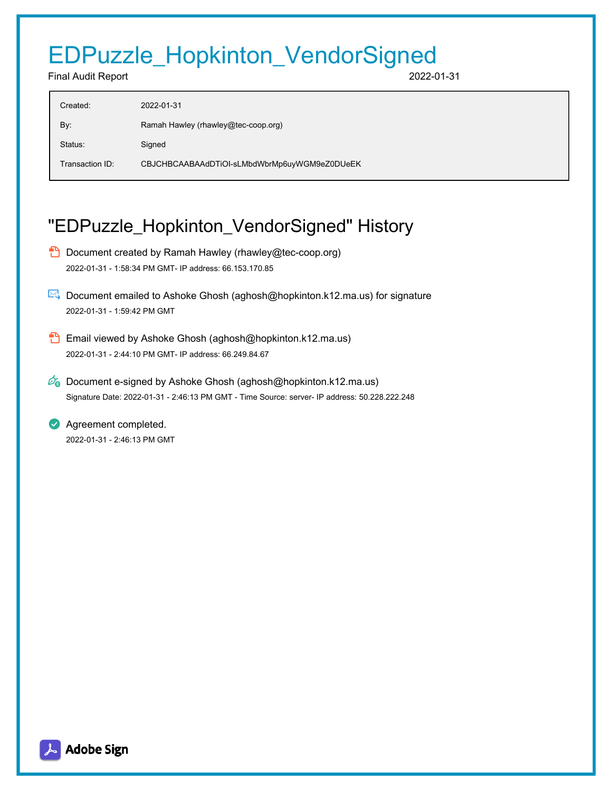# EDPuzzle\_Hopkinton\_VendorSigned

#### Final Audit Report 2022-01-31

| Created:        | 2022-01-31                                   |
|-----------------|----------------------------------------------|
| By:             | Ramah Hawley (rhawley@tec-coop.org)          |
| Status:         | Signed                                       |
| Transaction ID: | CBJCHBCAABAAdDTiOI-sLMbdWbrMp6uyWGM9eZ0DUeEK |

## "EDPuzzle\_Hopkinton\_VendorSigned" History

- **D** Document created by Ramah Hawley (rhawley@tec-coop.org) 2022-01-31 - 1:58:34 PM GMT- IP address: 66.153.170.85
- Document emailed to Ashoke Ghosh (aghosh@hopkinton.k12.ma.us) for signature 2022-01-31 - 1:59:42 PM GMT
- **B** Email viewed by Ashoke Ghosh (aghosh@hopkinton.k12.ma.us) 2022-01-31 - 2:44:10 PM GMT- IP address: 66.249.84.67
- $\mathcal{O}_0$  Document e-signed by Ashoke Ghosh (aghosh@hopkinton.k12.ma.us) Signature Date: 2022-01-31 - 2:46:13 PM GMT - Time Source: server- IP address: 50.228.222.248

**Agreement completed.** 2022-01-31 - 2:46:13 PM GMT

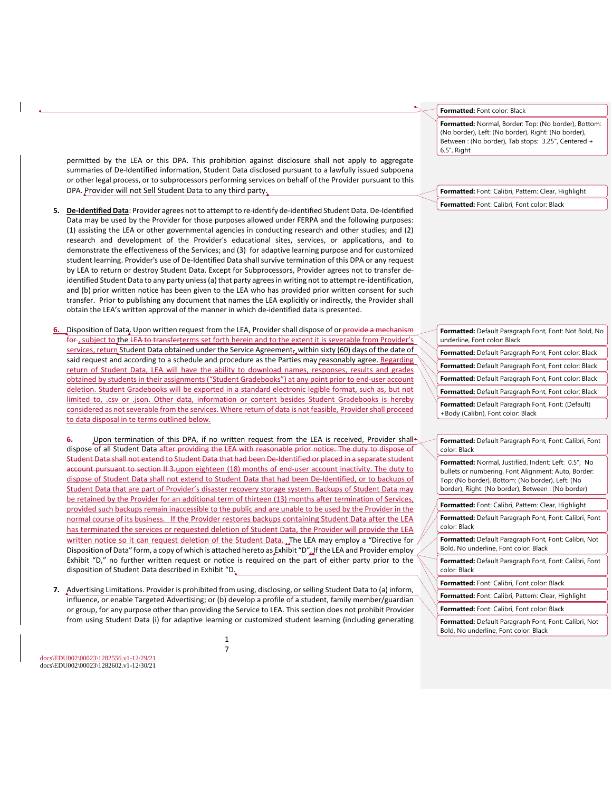permitted by the LEA or this DPA. This prohibition against disclosure shall not apply to aggregate summaries of De-Identified information, Student Data disclosed pursuant to a lawfully issued subpoena or other legal process, or to subprocessors performing services on behalf of the Provider pursuant to this DPA. Provider will not Sell Student Data to any third party.

- **5. De-Identified Data**: Provider agrees not to attempt to re-identify de-identified Student Data. De-Identified Data may be used by the Provider for those purposes allowed under FERPA and the following purposes: (1) assisting the LEA or other governmental agencies in conducting research and other studies; and (2) research and development of the Provider's educational sites, services, or applications, and to demonstrate the effectiveness of the Services; and (3) for adaptive learning purpose and for customized student learning. Provider's use of De-Identified Data shall survive termination of this DPA or any request by LEA to return or destroy Student Data. Except for Subprocessors, Provider agrees not to transfer deidentified Student Data to any party unless (a) that party agrees in writing not to attempt re-identification, and (b) prior written notice has been given to the LEA who has provided prior written consent for such transfer. Prior to publishing any document that names the LEA explicitly or indirectly, the Provider shall obtain the LEA's written approval of the manner in which de-identified data is presented.
- **6.** Disposition of Data. Upon written request from the LEA, Provider shall dispose of or provide a mechanism for , subject to the LEA to transferterms set forth herein and to the extent it is severable from Provider's services, return Student Data obtained under the Service Agreement<sub>r</sub> within sixty (60) days of the date of said request and according to a schedule and procedure as the Parties may reasonably agree. Regarding return of Student Data, LEA will have the ability to download names, responses, results and grades obtained by students in their assignments ("Student Gradebooks") at any point prior to end-user account deletion. Student Gradebooks will be exported in a standard electronic legible format, such as, but not limited to, .csv or .json. Other data, information or content besides Student Gradebooks is hereby considered as not severable from the services. Where return of data is not feasible, Provider shall proceed to data disposal in te terms outlined below.

Upon termination of this DPA, if no written request from the LEA is received, Provider shall dispose of all Student Data after providing the LEA with reasonable prior notice. The duty to dispose of Student Data shall not extend to Student Data that had been De-Identified or placed in a separate student account pursuant to section II 3-upon eighteen (18) months of end-user account inactivity. The duty to dispose of Student Data shall not extend to Student Data that had been De-Identified, or to backups of Student Data that are part of Provider's disaster recovery storage system. Backups of Student Data may be retained by the Provider for an additional term of thirteen (13) months after termination of Services, provided such backups remain inaccessible to the public and are unable to be used by the Provider in the normal course of its business. If the Provider restores backups containing Student Data after the LEA has terminated the services or requested deletion of Student Data, the Provider will provide the LEA written notice so it can request deletion of the Student Data. The LEA may employ a "Directive for Disposition of Data" form, a copy of which is attached hereto as Exhibit "D". If the LEA and Provider employ Exhibit "D," no further written request or notice is required on the part of either party prior to the disposition of Student Data described in Exhibit "D.

**7.** Advertising Limitations. Provider is prohibited from using, disclosing, or selling Student Data to (a) inform, influence, or enable Targeted Advertising; or (b) develop a profile of a student, family member/guardian or group, for any purpose other than providing the Service to LEA. This section does not prohibit Provider from using Student Data (i) for adaptive learning or customized student learning (including generating

docs\EDU002\00023\1282556.v1-12/29/21 docs\EDU002\00023\1282602.v1-12/30/21 **Formatted:** Font color: Black

**Formatted:** Normal, Border: Top: (No border), Bottom: (No border), Left: (No border), Right: (No border), Between : (No border), Tab stops: 3.25", Centered + 6.5", Right

**Formatted:** Font: Calibri, Pattern: Clear, Highlight **Formatted:** Font: Calibri, Font color: Black

| Formatted: Default Paragraph Font, Font: Not Bold, No<br>underline, Font color: Black    |
|------------------------------------------------------------------------------------------|
| <b>Formatted:</b> Default Paragraph Font, Font color: Black                              |
| <b>Formatted:</b> Default Paragraph Font, Font color: Black                              |
| Formatted: Default Paragraph Font, Font color: Black                                     |
| <b>Formatted:</b> Default Paragraph Font, Font color: Black                              |
| Formatted: Default Paragraph Font, Font: (Default)<br>+Body (Calibri), Font color: Black |
|                                                                                          |

**Formatted:** Default Paragraph Font, Font: Calibri, Font color: Black

**Formatted:** Normal, Justified, Indent: Left: 0.5", No bullets or numbering, Font Alignment: Auto, Border: Top: (No border), Bottom: (No border), Left: (No border), Right: (No border), Between : (No border)

**Formatted:** Font: Calibri, Pattern: Clear, Highlight

**Formatted:** Default Paragraph Font, Font: Calibri, Font color: Black

**Formatted:** Default Paragraph Font, Font: Calibri, Not Bold, No underline, Font color: Black

**Formatted:** Default Paragraph Font, Font: Calibri, Font color: Black

**Formatted:** Font: Calibri, Font color: Black

**Formatted:** Font: Calibri, Pattern: Clear, Highlight

**Formatted:** Font: Calibri, Font color: Black

**Formatted:** Default Paragraph Font, Font: Calibri, Not Bold, No underline, Font color: Black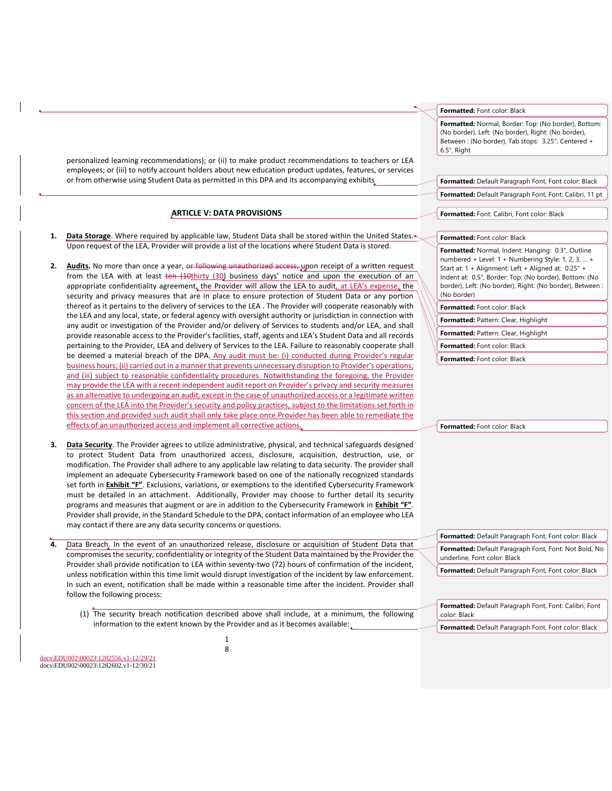personalized learning recommendations); or (ii) to make product recommendations to teachers or LEA employees; or (iii) to notify account holders about new education product updates, features, or services or from otherwise using Student Data as permitted in this DPA and its accompanying exhibits

#### **ARTICLE V: DATA PROVISIONS**

- 1. **Data Storage**. Where required by applicable law, Student Data shall be stored within the United States. Upon request of the LEA, Provider will provide a list of the locations where Student Data is stored.
- 2. **Audits.** No more than once a year, or following unauthorized access, upon receipt of a written request from the LEA with at least ten (10thirty (30) business days' notice and upon the execution of an appropriate confidentiality agreement, the Provider will allow the LEA to audit, at LEA's expense, the security and privacy measures that are in place to ensure protection of Student Data or any portion thereof as it pertains to the delivery of services to the LEA . The Provider will cooperate reasonably with the LEA and any local, state, or federal agency with oversight authority or jurisdiction in connection with any audit or investigation of the Provider and/or delivery of Services to students and/or LEA, and shall provide reasonable access to the Provider's facilities, staff, agents and LEA's Student Data and all records pertaining to the Provider, LEA and delivery of Services to the LEA. Failure to reasonably cooperate shall be deemed a material breach of the DPA. Any audit must be: (i) conducted during Provider's regular business hours; (ii) carried out in a manner that prevents unnecessary disruption to Provider's operations; and (iii) subject to reasonable confidentiality procedures. Notwithstanding the foregoing, the Provider may provide the LEA with a recent independent audit report on Provider's privacy and security measures as an alternative to undergoing an audit, except in the case of unauthorized access or a legitimate written concern of the LEA into the Provider's security and policy practices, subject to the limitations set forth in this section and provided such audit shall only take place once Provider has been able to remediate the effects of an unauthorized access and implement all corrective actions.
- **3. Data Security**. The Provider agrees to utilize administrative, physical, and technical safeguards designed to protect Student Data from unauthorized access, disclosure, acquisition, destruction, use, or modification. The Provider shall adhere to any applicable law relating to data security. The provider shall implement an adequate Cybersecurity Framework based on one of the nationally recognized standards set forth in **Exhibit "F"**. Exclusions, variations, or exemptions to the identified Cybersecurity Framework must be detailed in an attachment. Additionally, Provider may choose to further detail its security programs and measures that augment or are in addition to the Cybersecurity Framework in **Exhibit "F"**. Provider shall provide, in the Standard Schedule to the DPA, contact information of an employee who LEA may contact if there are any data security concerns or questions.
- **4.** Data Breach. In the event of an unauthorized release, disclosure or acquisition of Student Data that compromises the security, confidentiality or integrity of the Student Data maintained by the Provider the Provider shall provide notification to LEA within seventy-two (72) hours of confirmation of the incident, unless notification within this time limit would disrupt investigation of the incident by law enforcement. In such an event, notification shall be made within a reasonable time after the incident. Provider shall follow the following process:
	- (1) The security breach notification described above shall include, at a minimum, the following information to the extent known by the Provider and as it becomes available:

docs\EDU002\00023\1282556.v1-12/29/21 docs\EDU002\00023\1282602.v1-12/30/21 **Formatted:** Font color: Black

**Formatted:** Normal, Border: Top: (No border), Bottom: (No border), Left: (No border), Right: (No border), Between : (No border), Tab stops: 3.25", Centered + 6.5", Right

**Formatted:** Default Paragraph Font, Font color: Black **Formatted:** Default Paragraph Font, Font: Calibri, 11 pt

**Formatted:** Font: Calibri, Font color: Black

#### **Formatted:** Font color: Black

**Formatted:** Normal, Indent: Hanging: 0.3", Outline numbered + Level: 1 + Numbering Style: 1, 2, 3, … + Start at: 1 + Alignment: Left + Aligned at: 0.25" + Indent at: 0.5", Border: Top: (No border), Bottom: (No border), Left: (No border), Right: (No border), Between : (No border) **Formatted:** Font color: Black

**Formatted:** Pattern: Clear, Highlight

**Formatted:** Pattern: Clear, Highlight

**Formatted:** Font color: Black

**Formatted:** Font color: Black

**Formatted:** Font color: Black

**Formatted:** Default Paragraph Font, Font color: Black **Formatted:** Default Paragraph Font, Font: Not Bold, No underline, Font color: Black **Formatted:** Default Paragraph Font, Font color: Black

**Formatted:** Default Paragraph Font, Font: Calibri, Font color: Black **Formatted:** Default Paragraph Font, Font color: Black

1 8